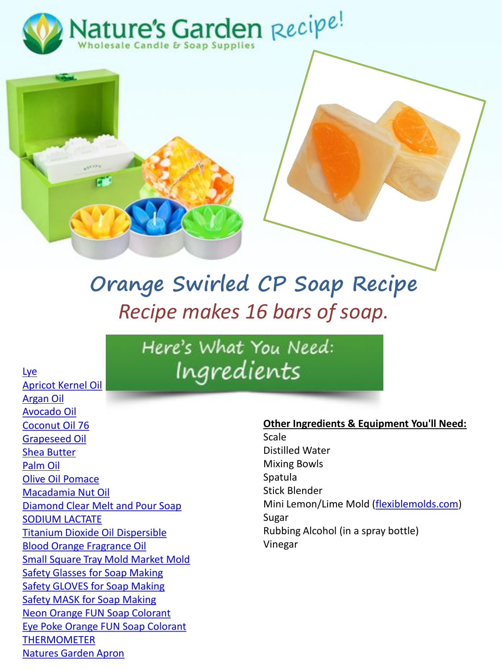



# **Orange Swirled CP Soap Recipe** *Recipe makes 16 bars of soap.*

Here's What You Need: Ingredients

[Lye](https://www.naturesgardencandles.com/lye/lye-sodium-hydroxide) [Apricot Kernel Oil](https://www.naturesgardencandles.com/apricot-kernel-oil) [Argan](https://www.naturesgardencandles.com/argan/argan-oil) Oil [Avocado Oil](https://www.naturesgardencandles.com/avocado-oil) [Coconut Oil 76](https://www.naturesgardencandles.com/coconut-oil-76) [Grapeseed Oil](https://www.naturesgardencandles.com/grapeseed-oil) [Shea Butter](https://www.naturesgardencandles.com/shea-butter) [Palm Oil](https://www.naturesgardencandles.com/palmoil/palm-oil) [Olive Oil Pomace](https://www.naturesgardencandles.com/pomace-olive-oil) [Macadamia Nut Oil](https://www.naturesgardencandles.com/macadamia-nut-oil) [Diamond Clear Melt and Pour Soap](https://www.naturesgardencandles.com/diamond-clear-melt-and-pour-soap) [SODIUM LACTATE](https://www.naturesgardencandles.com/sodium-lactate) [Titanium Dioxide Oil Dispersible](https://www.naturesgardencandles.com/titanium-dioxide-oil-dispersible) [Blood Orange Fragrance Oil](https://www.naturesgardencandles.com/blood-orange-fragrance-oil) [Small Square Tray Mold Market Mold](https://www.naturesgardencandles.com/small-square-tray-mold-market-molds) [Safety Glasses for Soap Making](https://www.naturesgardencandles.com/soap-making-safety-glasses) [Safety GLOVES for Soap Making](https://www.naturesgardencandles.com/soap-making-safety-gloves) [Safety MASK for Soap Making](https://www.naturesgardencandles.com/soap-making-safety-mask) [Neon Orange FUN Soap Colorant](https://www.naturesgardencandles.com/soap-coloring/neon-orange-fun-soap-colorant) [Eye Poke Orange FUN Soap Colorant](https://www.naturesgardencandles.com/soap-coloring/eye-poke-orange-fun-soap-colorant) [THERMOMETER](https://www.naturesgardencandles.com/thermometer-candle-soap) [Natures Garden Apron](https://www.naturesgardencandles.com/soap-apron)

#### **Other Ingredients & Equipment You'll Need:**

Scale Distilled Water Mixing Bowls Spatula Stick Blender Mini Lemon/Lime Mold ([flexiblemolds.com](https://flexiblemolds.com/)) Sugar Rubbing Alcohol (in a spray bottle) Vinegar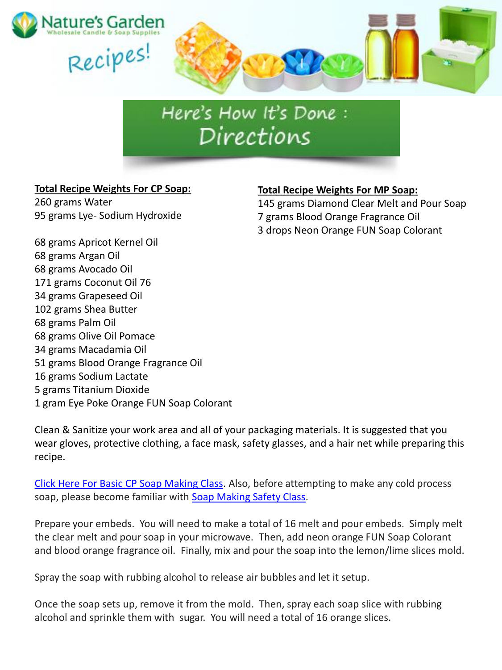

## Here's How It's Done : Directions

### **Total Recipe Weights For CP Soap:**

260 grams Water 95 grams Lye- Sodium Hydroxide

### **Total Recipe Weights For MP Soap:**

145 grams Diamond Clear Melt and Pour Soap 7 grams Blood Orange Fragrance Oil 3 drops Neon Orange FUN Soap Colorant

68 grams Apricot Kernel Oil 68 grams Argan Oil 68 grams Avocado Oil 171 grams Coconut Oil 76 34 grams Grapeseed Oil 102 grams Shea Butter 68 grams Palm Oil 68 grams Olive Oil Pomace 34 grams Macadamia Oil 51 grams Blood Orange Fragrance Oil 16 grams Sodium Lactate 5 grams Titanium Dioxide 1 gram Eye Poke Orange FUN Soap Colorant

Clean & Sanitize your work area and all of your packaging materials. It is suggested that you wear gloves, protective clothing, a face mask, safety glasses, and a hair net while preparing this recipe.

[Click Here For Basic CP Soap Making Class](http://www.naturesgardencandles.com/candlemaking-soap-supplies/item/coldprocess/-cold-process-soap-class-101.html). Also, before attempting to make any cold process soap, please become familiar with [Soap Making Safety Class.](http://www.naturesgardencandles.com/candlemaking-soap-supplies/item/00soapsafe/-Soap-Making-Safety.html)

Prepare your embeds. You will need to make a total of 16 melt and pour embeds. Simply melt the clear melt and pour soap in your microwave. Then, add neon orange FUN Soap Colorant and blood orange fragrance oil. Finally, mix and pour the soap into the lemon/lime slices mold.

Spray the soap with rubbing alcohol to release air bubbles and let it setup.

Once the soap sets up, remove it from the mold. Then, spray each soap slice with rubbing alcohol and sprinkle them with sugar. You will need a total of 16 orange slices.